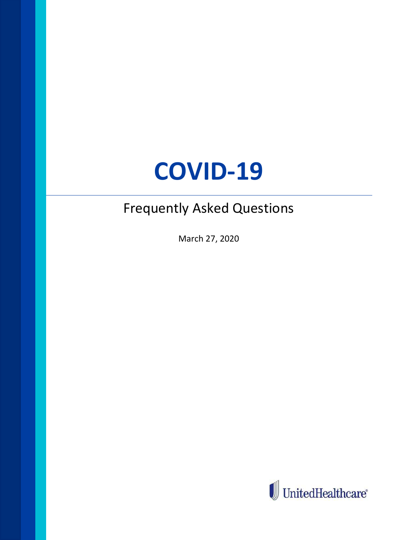# COVID-19

## Frequently Asked Questions

March 27, 2020

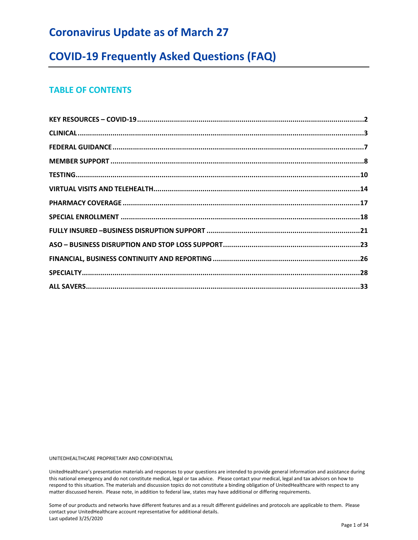## Coronavirus Update as of March 27

### COVID-19 Frequently Asked Questions (FAQ)

#### TABLE OF CONTENTS

UNITEDHEALTHCARE PROPRIETARY AND CONFIDENTIAL

UnitedHealthcare's presentation materials and responses to your questions are intended to provide general information and assistance during this national emergency and do not constitute medical, legal or tax advice. Please contact your medical, legal and tax advisors on how to respond to this situation. The materials and discussion topics do not constitute a binding obligation of UnitedHealthcare with respect to any matter discussed herein. Please note, in addition to federal law, states may have additional or differing requirements.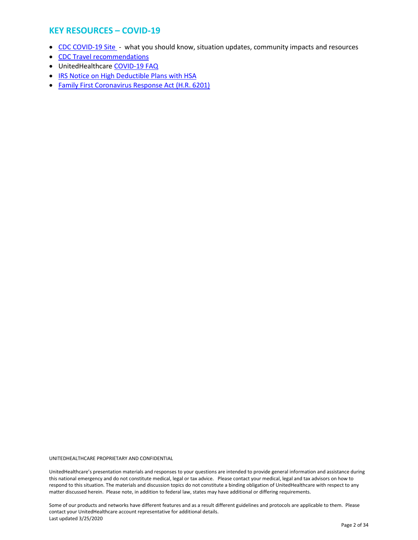#### KEY RESOURCES – COVID-19

- CDC COVID-19 Site what you should know, situation updates, community impacts and resources
- CDC Travel recommendations
- UnitedHealthcare COVID-19 FAQ
- IRS Notice on High Deductible Plans with HSA
- Family First Coronavirus Response Act (H.R. 6201)

UNITEDHEALTHCARE PROPRIETARY AND CONFIDENTIAL

UnitedHealthcare's presentation materials and responses to your questions are intended to provide general information and assistance during this national emergency and do not constitute medical, legal or tax advice. Please contact your medical, legal and tax advisors on how to respond to this situation. The materials and discussion topics do not constitute a binding obligation of UnitedHealthcare with respect to any matter discussed herein. Please note, in addition to federal law, states may have additional or differing requirements.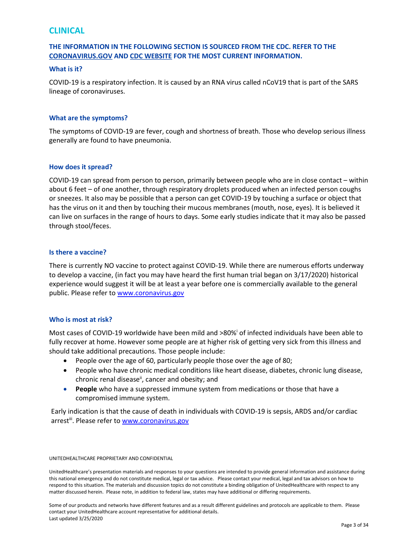#### CLINICAL

#### THE INFORMATION IN THE FOLLOWING SECTION IS SOURCED FROM THE CDC. REFER TO THE CORONAVIRUS.GOV AND CDC WEBSITE FOR THE MOST CURRENT INFORMATION.

#### What is it?

COVID-19 is a respiratory infection. It is caused by an RNA virus called nCoV19 that is part of the SARS lineage of coronaviruses.

#### What are the symptoms?

The symptoms of COVID-19 are fever, cough and shortness of breath. Those who develop serious illness generally are found to have pneumonia.

#### How does it spread?

COVID-19 can spread from person to person, primarily between people who are in close contact – within about 6 feet – of one another, through respiratory droplets produced when an infected person coughs or sneezes. It also may be possible that a person can get COVID-19 by touching a surface or object that has the virus on it and then by touching their mucous membranes (mouth, nose, eyes). It is believed it can live on surfaces in the range of hours to days. Some early studies indicate that it may also be passed through stool/feces.

#### Is there a vaccine?

There is currently NO vaccine to protect against COVID-19. While there are numerous efforts underway to develop a vaccine, (in fact you may have heard the first human trial began on 3/17/2020) historical experience would suggest it will be at least a year before one is commercially available to the general public. Please refer to www.coronavirus.gov

#### Who is most at risk?

Most cases of COVID-19 worldwide have been mild and >80%<sup>i</sup> of infected individuals have been able to fully recover at home. However some people are at higher risk of getting very sick from this illness and should take additional precautions. Those people include:

- People over the age of 60, particularly people those over the age of 80;
- People who have chronic medical conditions like heart disease, diabetes, chronic lung disease, chronic renal disease<sup>ii</sup>, cancer and obesity; and
- **People** who have a suppressed immune system from medications or those that have a compromised immune system.

Early indication is that the cause of death in individuals with COVID-19 is sepsis, ARDS and/or cardiac arrest<sup>iii</sup>. Please refer to www.coronavirus.gov

#### UNITEDHEALTHCARE PROPRIETARY AND CONFIDENTIAL

UnitedHealthcare's presentation materials and responses to your questions are intended to provide general information and assistance during this national emergency and do not constitute medical, legal or tax advice. Please contact your medical, legal and tax advisors on how to respond to this situation. The materials and discussion topics do not constitute a binding obligation of UnitedHealthcare with respect to any matter discussed herein. Please note, in addition to federal law, states may have additional or differing requirements.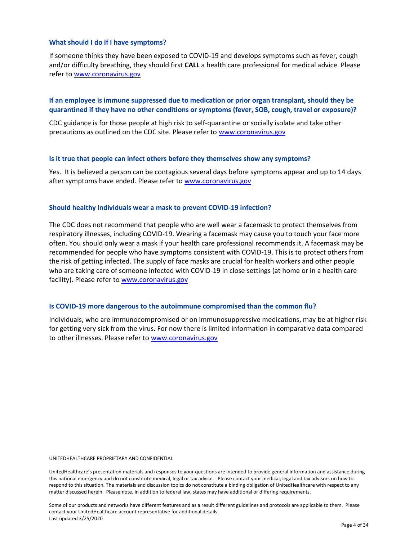#### What should I do if I have symptoms?

If someone thinks they have been exposed to COVID-19 and develops symptoms such as fever, cough and/or difficulty breathing, they should first CALL a health care professional for medical advice. Please refer to www.coronavirus.gov

#### If an employee is immune suppressed due to medication or prior organ transplant, should they be quarantined if they have no other conditions or symptoms (fever, SOB, cough, travel or exposure)?

CDC guidance is for those people at high risk to self-quarantine or socially isolate and take other precautions as outlined on the CDC site. Please refer to www.coronavirus.gov

#### Is it true that people can infect others before they themselves show any symptoms?

Yes. It is believed a person can be contagious several days before symptoms appear and up to 14 days after symptoms have ended. Please refer to www.coronavirus.gov

#### Should healthy individuals wear a mask to prevent COVID-19 infection?

The CDC does not recommend that people who are well wear a facemask to protect themselves from respiratory illnesses, including COVID-19. Wearing a facemask may cause you to touch your face more often. You should only wear a mask if your health care professional recommends it. A facemask may be recommended for people who have symptoms consistent with COVID-19. This is to protect others from the risk of getting infected. The supply of face masks are crucial for health workers and other people who are taking care of someone infected with COVID-19 in close settings (at home or in a health care facility). Please refer to www.coronavirus.gov

#### Is COVID-19 more dangerous to the autoimmune compromised than the common flu?

Individuals, who are immunocompromised or on immunosuppressive medications, may be at higher risk for getting very sick from the virus. For now there is limited information in comparative data compared to other illnesses. Please refer to www.coronavirus.gov

UNITEDHEALTHCARE PROPRIETARY AND CONFIDENTIAL

UnitedHealthcare's presentation materials and responses to your questions are intended to provide general information and assistance during this national emergency and do not constitute medical, legal or tax advice. Please contact your medical, legal and tax advisors on how to respond to this situation. The materials and discussion topics do not constitute a binding obligation of UnitedHealthcare with respect to any matter discussed herein. Please note, in addition to federal law, states may have additional or differing requirements.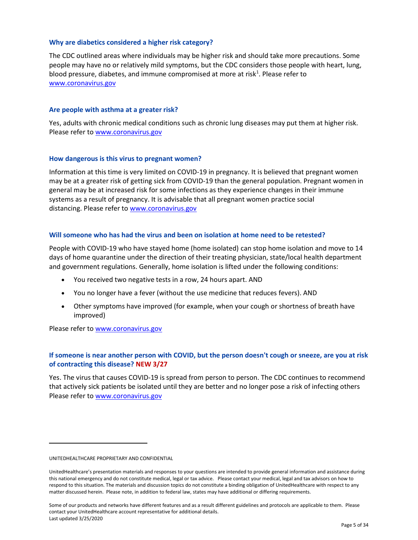#### Why are diabetics considered a higher risk category?

The CDC outlined areas where individuals may be higher risk and should take more precautions. Some people may have no or relatively mild symptoms, but the CDC considers those people with heart, lung, blood pressure, diabetes, and immune compromised at more at risk<sup>1</sup>. Please refer to www.coronavirus.gov

#### Are people with asthma at a greater risk?

Yes, adults with chronic medical conditions such as chronic lung diseases may put them at higher risk. Please refer to www.coronavirus.gov

#### How dangerous is this virus to pregnant women?

Information at this time is very limited on COVID-19 in pregnancy. It is believed that pregnant women may be at a greater risk of getting sick from COVID-19 than the general population. Pregnant women in general may be at increased risk for some infections as they experience changes in their immune systems as a result of pregnancy. It is advisable that all pregnant women practice social distancing. Please refer to www.coronavirus.gov

#### Will someone who has had the virus and been on isolation at home need to be retested?

People with COVID-19 who have stayed home (home isolated) can stop home isolation and move to 14 days of home quarantine under the direction of their treating physician, state/local health department and government regulations. Generally, home isolation is lifted under the following conditions:

- You received two negative tests in a row, 24 hours apart. AND
- You no longer have a fever (without the use medicine that reduces fevers). AND
- Other symptoms have improved (for example, when your cough or shortness of breath have improved)

Please refer to www.coronavirus.gov

#### If someone is near another person with COVID, but the person doesn't cough or sneeze, are you at risk of contracting this disease? NEW 3/27

Yes. The virus that causes COVID-19 is spread from person to person. The CDC continues to recommend that actively sick patients be isolated until they are better and no longer pose a risk of infecting others Please refer to www.coronavirus.gov

UNITEDHEALTHCARE PROPRIETARY AND CONFIDENTIAL

UnitedHealthcare's presentation materials and responses to your questions are intended to provide general information and assistance during this national emergency and do not constitute medical, legal or tax advice. Please contact your medical, legal and tax advisors on how to respond to this situation. The materials and discussion topics do not constitute a binding obligation of UnitedHealthcare with respect to any matter discussed herein. Please note, in addition to federal law, states may have additional or differing requirements.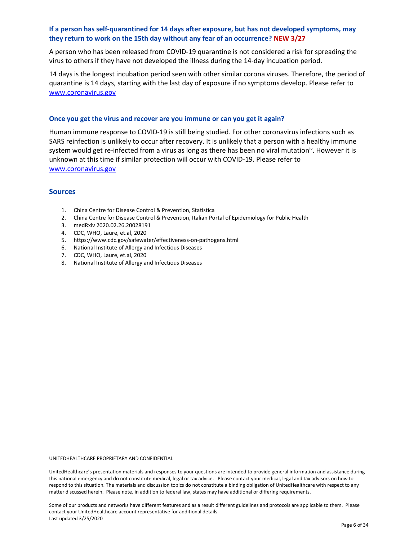#### If a person has self-quarantined for 14 days after exposure, but has not developed symptoms, may they return to work on the 15th day without any fear of an occurrence? NEW 3/27

A person who has been released from COVID-19 quarantine is not considered a risk for spreading the virus to others if they have not developed the illness during the 14-day incubation period.

14 days is the longest incubation period seen with other similar corona viruses. Therefore, the period of quarantine is 14 days, starting with the last day of exposure if no symptoms develop. Please refer to www.coronavirus.gov

#### Once you get the virus and recover are you immune or can you get it again?

Human immune response to COVID-19 is still being studied. For other coronavirus infections such as SARS reinfection is unlikely to occur after recovery. It is unlikely that a person with a healthy immune system would get re-infected from a virus as long as there has been no viral mutation<sup>iv</sup>. However it is unknown at this time if similar protection will occur with COVID-19. Please refer to www.coronavirus.gov

#### Sources

- 1. China Centre for Disease Control & Prevention, Statistica
- 2. China Centre for Disease Control & Prevention, Italian Portal of Epidemiology for Public Health
- 3. medRxiv 2020.02.26.20028191
- 4. CDC, WHO, Laure, et.al, 2020
- 5. https://www.cdc.gov/safewater/effectiveness-on-pathogens.html
- 6. National Institute of Allergy and Infectious Diseases
- 7. CDC, WHO, Laure, et.al, 2020
- 8. National Institute of Allergy and Infectious Diseases

UNITEDHEALTHCARE PROPRIETARY AND CONFIDENTIAL

UnitedHealthcare's presentation materials and responses to your questions are intended to provide general information and assistance during this national emergency and do not constitute medical, legal or tax advice. Please contact your medical, legal and tax advisors on how to respond to this situation. The materials and discussion topics do not constitute a binding obligation of UnitedHealthcare with respect to any matter discussed herein. Please note, in addition to federal law, states may have additional or differing requirements.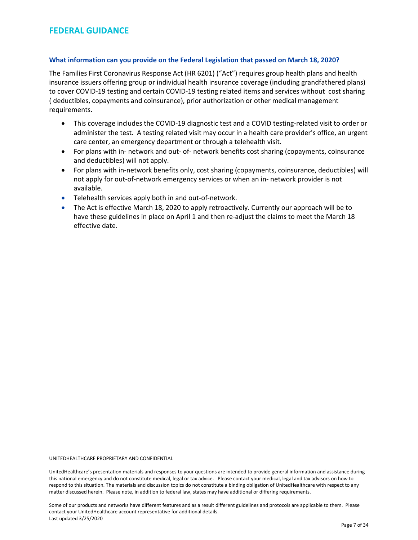#### What information can you provide on the Federal Legislation that passed on March 18, 2020?

The Families First Coronavirus Response Act (HR 6201) ("Act") requires group health plans and health insurance issuers offering group or individual health insurance coverage (including grandfathered plans) to cover COVID-19 testing and certain COVID-19 testing related items and services without cost sharing ( deductibles, copayments and coinsurance), prior authorization or other medical management requirements.

- This coverage includes the COVID-19 diagnostic test and a COVID testing-related visit to order or administer the test. A testing related visit may occur in a health care provider's office, an urgent care center, an emergency department or through a telehealth visit.
- For plans with in- network and out- of- network benefits cost sharing (copayments, coinsurance and deductibles) will not apply.
- For plans with in-network benefits only, cost sharing (copayments, coinsurance, deductibles) will not apply for out-of-network emergency services or when an in- network provider is not available.
- **•** Telehealth services apply both in and out-of-network.
- The Act is effective March 18, 2020 to apply retroactively. Currently our approach will be to have these guidelines in place on April 1 and then re-adjust the claims to meet the March 18 effective date.

UNITEDHEALTHCARE PROPRIETARY AND CONFIDENTIAL

UnitedHealthcare's presentation materials and responses to your questions are intended to provide general information and assistance during this national emergency and do not constitute medical, legal or tax advice. Please contact your medical, legal and tax advisors on how to respond to this situation. The materials and discussion topics do not constitute a binding obligation of UnitedHealthcare with respect to any matter discussed herein. Please note, in addition to federal law, states may have additional or differing requirements.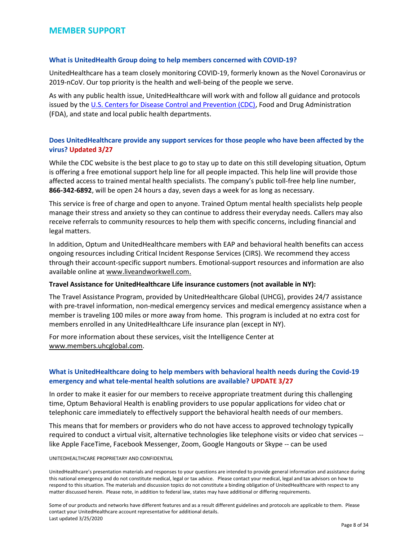#### MEMBER SUPPORT

#### What is UnitedHealth Group doing to help members concerned with COVID-19?

UnitedHealthcare has a team closely monitoring COVID-19, formerly known as the Novel Coronavirus or 2019-nCoV. Our top priority is the health and well-being of the people we serve.

As with any public health issue, UnitedHealthcare will work with and follow all guidance and protocols issued by the U.S. Centers for Disease Control and Prevention (CDC), Food and Drug Administration (FDA), and state and local public health departments.

#### Does UnitedHealthcare provide any support services for those people who have been affected by the virus? Updated 3/27

While the CDC website is the best place to go to stay up to date on this still developing situation, Optum is offering a free emotional support help line for all people impacted. This help line will provide those affected access to trained mental health specialists. The company's public toll-free help line number, 866-342-6892, will be open 24 hours a day, seven days a week for as long as necessary.

This service is free of charge and open to anyone. Trained Optum mental health specialists help people manage their stress and anxiety so they can continue to address their everyday needs. Callers may also receive referrals to community resources to help them with specific concerns, including financial and legal matters.

In addition, Optum and UnitedHealthcare members with EAP and behavioral health benefits can access ongoing resources including Critical Incident Response Services (CIRS). We recommend they access through their account-specific support numbers. Emotional-support resources and information are also available online at www.liveandworkwell.com.

#### Travel Assistance for UnitedHealthcare Life insurance customers (not available in NY):

The Travel Assistance Program, provided by UnitedHealthcare Global (UHCG), provides 24/7 assistance with pre-travel information, non-medical emergency services and medical emergency assistance when a member is traveling 100 miles or more away from home. This program is included at no extra cost for members enrolled in any UnitedHealthcare Life insurance plan (except in NY).

For more information about these services, visit the Intelligence Center at www.members.uhcglobal.com.

#### What is UnitedHealthcare doing to help members with behavioral health needs during the Covid-19 emergency and what tele-mental health solutions are available? UPDATE 3/27

In order to make it easier for our members to receive appropriate treatment during this challenging time, Optum Behavioral Health is enabling providers to use popular applications for video chat or telephonic care immediately to effectively support the behavioral health needs of our members.

This means that for members or providers who do not have access to approved technology typically required to conduct a virtual visit, alternative technologies like telephone visits or video chat services - like Apple FaceTime, Facebook Messenger, Zoom, Google Hangouts or Skype -- can be used

#### UNITEDHEALTHCARE PROPRIETARY AND CONFIDENTIAL

UnitedHealthcare's presentation materials and responses to your questions are intended to provide general information and assistance during this national emergency and do not constitute medical, legal or tax advice. Please contact your medical, legal and tax advisors on how to respond to this situation. The materials and discussion topics do not constitute a binding obligation of UnitedHealthcare with respect to any matter discussed herein. Please note, in addition to federal law, states may have additional or differing requirements.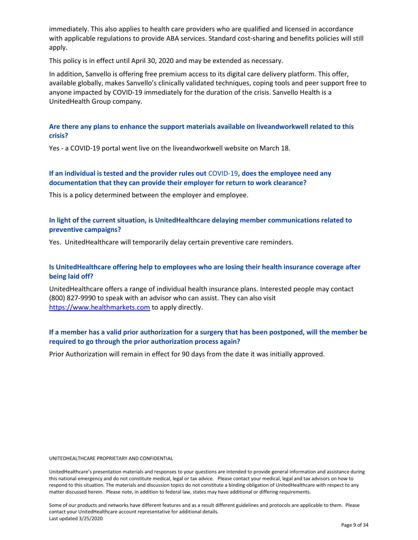immediately. This also applies to health care providers who are qualified and licensed in accordance with applicable regulations to provide ABA services. Standard cost-sharing and benefits policies will still apply.

This policy is in effect until April 30, 2020 and may be extended as necessary.

In addition, Sanvello is offering free premium access to its digital care delivery platform. This offer, available globally, makes Sanvello's clinically validated techniques, coping tools and peer support free to anyone impacted by COVID-19 immediately for the duration of the crisis. Sanvello Health is a UnitedHealth Group company.

#### Are there any plans to enhance the support materials available on liveandworkwell related to this crisis?

Yes - a COVID-19 portal went live on the liveandworkwell website on March 18.

#### If an individual is tested and the provider rules out COVID-19, does the employee need any documentation that they can provide their employer for return to work clearance?

This is a policy determined between the employer and employee.

#### In light of the current situation, is UnitedHealthcare delaying member communications related to preventive campaigns?

Yes. UnitedHealthcare will temporarily delay certain preventive care reminders.

#### Is UnitedHealthcare offering help to employees who are losing their health insurance coverage after being laid off?

UnitedHealthcare offers a range of individual health insurance plans. Interested people may contact (800) 827-9990 to speak with an advisor who can assist. They can also visit https://www.healthmarkets.com to apply directly.

#### If a member has a valid prior authorization for a surgery that has been postponed, will the member be required to go through the prior authorization process again?

Prior Authorization will remain in effect for 90 days from the date it was initially approved.

UNITEDHEALTHCARE PROPRIETARY AND CONFIDENTIAL

UnitedHealthcare's presentation materials and responses to your questions are intended to provide general information and assistance during this national emergency and do not constitute medical, legal or tax advice. Please contact your medical, legal and tax advisors on how to respond to this situation. The materials and discussion topics do not constitute a binding obligation of UnitedHealthcare with respect to any matter discussed herein. Please note, in addition to federal law, states may have additional or differing requirements.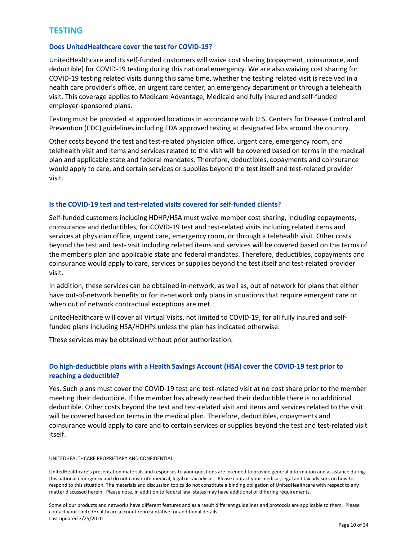#### **TESTING**

#### Does UnitedHealthcare cover the test for COVID-19?

UnitedHealthcare and its self-funded customers will waive cost sharing (copayment, coinsurance, and deductible) for COVID-19 testing during this national emergency. We are also waiving cost sharing for COVID-19 testing related visits during this same time, whether the testing related visit is received in a health care provider's office, an urgent care center, an emergency department or through a telehealth visit. This coverage applies to Medicare Advantage, Medicaid and fully insured and self-funded employer-sponsored plans.

Testing must be provided at approved locations in accordance with U.S. Centers for Disease Control and Prevention (CDC) guidelines including FDA approved testing at designated labs around the country.

Other costs beyond the test and test-related physician office, urgent care, emergency room, and telehealth visit and items and services related to the visit will be covered based on terms in the medical plan and applicable state and federal mandates. Therefore, deductibles, copayments and coinsurance would apply to care, and certain services or supplies beyond the test itself and test-related provider visit.

#### Is the COVID-19 test and test-related visits covered for self-funded clients?

Self-funded customers including HDHP/HSA must waive member cost sharing, including copayments, coinsurance and deductibles, for COVID-19 test and test-related visits including related items and services at physician office, urgent care, emergency room, or through a telehealth visit. Other costs beyond the test and test- visit including related items and services will be covered based on the terms of the member's plan and applicable state and federal mandates. Therefore, deductibles, copayments and coinsurance would apply to care, services or supplies beyond the test itself and test-related provider visit.

In addition, these services can be obtained in-network, as well as, out of network for plans that either have out-of-network benefits or for in-network only plans in situations that require emergent care or when out of network contractual exceptions are met.

UnitedHealthcare will cover all Virtual Visits, not limited to COVID-19, for all fully insured and selffunded plans including HSA/HDHPs unless the plan has indicated otherwise.

These services may be obtained without prior authorization.

#### Do high-deductible plans with a Health Savings Account (HSA) cover the COVID-19 test prior to reaching a deductible?

Yes. Such plans must cover the COVID-19 test and test-related visit at no cost share prior to the member meeting their deductible. If the member has already reached their deductible there is no additional deductible. Other costs beyond the test and test-related visit and items and services related to the visit will be covered based on terms in the medical plan. Therefore, deductibles, copayments and coinsurance would apply to care and to certain services or supplies beyond the test and test-related visit itself.

#### UNITEDHEALTHCARE PROPRIETARY AND CONFIDENTIAL

UnitedHealthcare's presentation materials and responses to your questions are intended to provide general information and assistance during this national emergency and do not constitute medical, legal or tax advice. Please contact your medical, legal and tax advisors on how to respond to this situation. The materials and discussion topics do not constitute a binding obligation of UnitedHealthcare with respect to any matter discussed herein. Please note, in addition to federal law, states may have additional or differing requirements.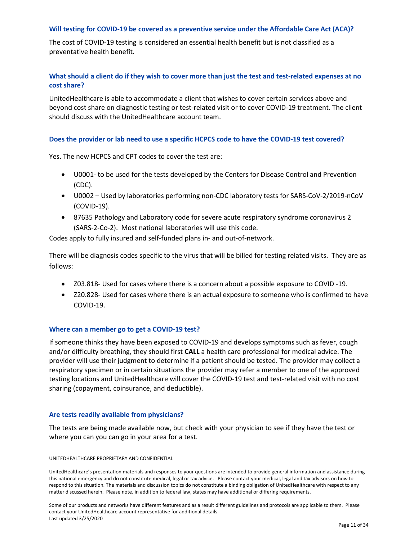#### Will testing for COVID-19 be covered as a preventive service under the Affordable Care Act (ACA)?

The cost of COVID-19 testing is considered an essential health benefit but is not classified as a preventative health benefit.

#### What should a client do if they wish to cover more than just the test and test-related expenses at no cost share?

UnitedHealthcare is able to accommodate a client that wishes to cover certain services above and beyond cost share on diagnostic testing or test-related visit or to cover COVID-19 treatment. The client should discuss with the UnitedHealthcare account team.

#### Does the provider or lab need to use a specific HCPCS code to have the COVID-19 test covered?

Yes. The new HCPCS and CPT codes to cover the test are:

- U0001- to be used for the tests developed by the Centers for Disease Control and Prevention (CDC).
- U0002 Used by laboratories performing non-CDC laboratory tests for SARS-CoV-2/2019-nCoV (COVID-19).
- 87635 Pathology and Laboratory code for severe acute respiratory syndrome coronavirus 2 (SARS-2-Co-2). Most national laboratories will use this code.

Codes apply to fully insured and self-funded plans in- and out-of-network.

There will be diagnosis codes specific to the virus that will be billed for testing related visits. They are as follows:

- Z03.818- Used for cases where there is a concern about a possible exposure to COVID -19.
- Z20.828- Used for cases where there is an actual exposure to someone who is confirmed to have COVID-19.

#### Where can a member go to get a COVID-19 test?

If someone thinks they have been exposed to COVID-19 and develops symptoms such as fever, cough and/or difficulty breathing, they should first CALL a health care professional for medical advice. The provider will use their judgment to determine if a patient should be tested. The provider may collect a respiratory specimen or in certain situations the provider may refer a member to one of the approved testing locations and UnitedHealthcare will cover the COVID-19 test and test-related visit with no cost sharing (copayment, coinsurance, and deductible).

#### Are tests readily available from physicians?

The tests are being made available now, but check with your physician to see if they have the test or where you can you can go in your area for a test.

UNITEDHEALTHCARE PROPRIETARY AND CONFIDENTIAL

UnitedHealthcare's presentation materials and responses to your questions are intended to provide general information and assistance during this national emergency and do not constitute medical, legal or tax advice. Please contact your medical, legal and tax advisors on how to respond to this situation. The materials and discussion topics do not constitute a binding obligation of UnitedHealthcare with respect to any matter discussed herein. Please note, in addition to federal law, states may have additional or differing requirements.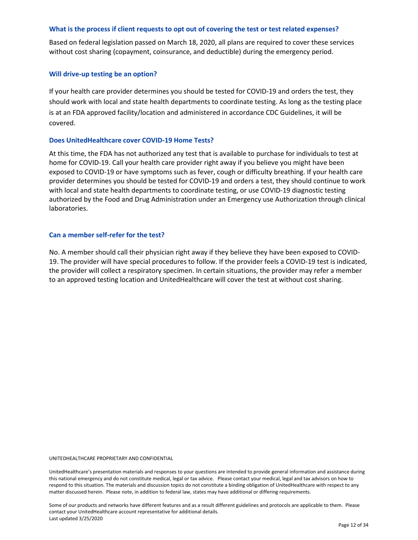#### What is the process if client requests to opt out of covering the test or test related expenses?

Based on federal legislation passed on March 18, 2020, all plans are required to cover these services without cost sharing (copayment, coinsurance, and deductible) during the emergency period.

#### Will drive-up testing be an option?

If your health care provider determines you should be tested for COVID-19 and orders the test, they should work with local and state health departments to coordinate testing. As long as the testing place is at an FDA approved facility/location and administered in accordance CDC Guidelines, it will be covered.

#### Does UnitedHealthcare cover COVID-19 Home Tests?

At this time, the FDA has not authorized any test that is available to purchase for individuals to test at home for COVID-19. Call your health care provider right away if you believe you might have been exposed to COVID-19 or have symptoms such as fever, cough or difficulty breathing. If your health care provider determines you should be tested for COVID-19 and orders a test, they should continue to work with local and state health departments to coordinate testing, or use COVID-19 diagnostic testing authorized by the Food and Drug Administration under an Emergency use Authorization through clinical laboratories.

#### Can a member self-refer for the test?

No. A member should call their physician right away if they believe they have been exposed to COVID-19. The provider will have special procedures to follow. If the provider feels a COVID-19 test is indicated, the provider will collect a respiratory specimen. In certain situations, the provider may refer a member to an approved testing location and UnitedHealthcare will cover the test at without cost sharing.

UNITEDHEALTHCARE PROPRIETARY AND CONFIDENTIAL

UnitedHealthcare's presentation materials and responses to your questions are intended to provide general information and assistance during this national emergency and do not constitute medical, legal or tax advice. Please contact your medical, legal and tax advisors on how to respond to this situation. The materials and discussion topics do not constitute a binding obligation of UnitedHealthcare with respect to any matter discussed herein. Please note, in addition to federal law, states may have additional or differing requirements.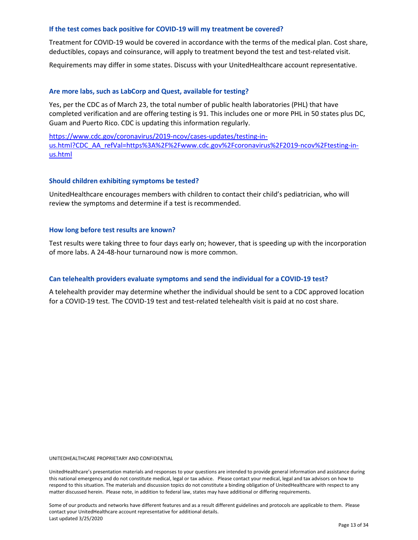#### If the test comes back positive for COVID-19 will my treatment be covered?

Treatment for COVID-19 would be covered in accordance with the terms of the medical plan. Cost share, deductibles, copays and coinsurance, will apply to treatment beyond the test and test-related visit.

Requirements may differ in some states. Discuss with your UnitedHealthcare account representative.

#### Are more labs, such as LabCorp and Quest, available for testing?

Yes, per the CDC as of March 23, the total number of public health laboratories (PHL) that have completed verification and are offering testing is 91. This includes one or more PHL in 50 states plus DC, Guam and Puerto Rico. CDC is updating this information regularly.

https://www.cdc.gov/coronavirus/2019-ncov/cases-updates/testing-inus.html?CDC\_AA\_refVal=https%3A%2F%2Fwww.cdc.gov%2Fcoronavirus%2F2019-ncov%2Ftesting-inus.html

#### Should children exhibiting symptoms be tested?

UnitedHealthcare encourages members with children to contact their child's pediatrician, who will review the symptoms and determine if a test is recommended.

#### How long before test results are known?

Test results were taking three to four days early on; however, that is speeding up with the incorporation of more labs. A 24-48-hour turnaround now is more common.

#### Can telehealth providers evaluate symptoms and send the individual for a COVID-19 test?

A telehealth provider may determine whether the individual should be sent to a CDC approved location for a COVID-19 test. The COVID-19 test and test-related telehealth visit is paid at no cost share.

UNITEDHEALTHCARE PROPRIETARY AND CONFIDENTIAL

UnitedHealthcare's presentation materials and responses to your questions are intended to provide general information and assistance during this national emergency and do not constitute medical, legal or tax advice. Please contact your medical, legal and tax advisors on how to respond to this situation. The materials and discussion topics do not constitute a binding obligation of UnitedHealthcare with respect to any matter discussed herein. Please note, in addition to federal law, states may have additional or differing requirements.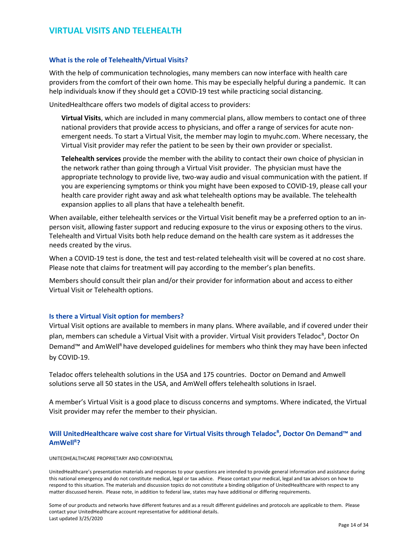#### VIRTUAL VISITS AND TELEHEALTH

#### What is the role of Telehealth/Virtual Visits?

With the help of communication technologies, many members can now interface with health care providers from the comfort of their own home. This may be especially helpful during a pandemic. It can help individuals know if they should get a COVID-19 test while practicing social distancing.

UnitedHealthcare offers two models of digital access to providers:

Virtual Visits, which are included in many commercial plans, allow members to contact one of three national providers that provide access to physicians, and offer a range of services for acute nonemergent needs. To start a Virtual Visit, the member may login to myuhc.com. Where necessary, the Virtual Visit provider may refer the patient to be seen by their own provider or specialist.

Telehealth services provide the member with the ability to contact their own choice of physician in the network rather than going through a Virtual Visit provider. The physician must have the appropriate technology to provide live, two-way audio and visual communication with the patient. If you are experiencing symptoms or think you might have been exposed to COVID-19, please call your health care provider right away and ask what telehealth options may be available. The telehealth expansion applies to all plans that have a telehealth benefit.

When available, either telehealth services or the Virtual Visit benefit may be a preferred option to an inperson visit, allowing faster support and reducing exposure to the virus or exposing others to the virus. Telehealth and Virtual Visits both help reduce demand on the health care system as it addresses the needs created by the virus.

When a COVID-19 test is done, the test and test-related telehealth visit will be covered at no cost share. Please note that claims for treatment will pay according to the member's plan benefits.

Members should consult their plan and/or their provider for information about and access to either Virtual Visit or Telehealth options.

#### Is there a Virtual Visit option for members?

Virtual Visit options are available to members in many plans. Where available, and if covered under their plan, members can schedule a Virtual Visit with a provider. Virtual Visit providers Teladoc<sup>R</sup>, Doctor On Demand™ and AmWell<sup>R</sup> have developed guidelines for members who think they may have been infected by COVID-19.

Teladoc offers telehealth solutions in the USA and 175 countries. Doctor on Demand and Amwell solutions serve all 50 states in the USA, and AmWell offers telehealth solutions in Israel.

A member's Virtual Visit is a good place to discuss concerns and symptoms. Where indicated, the Virtual Visit provider may refer the member to their physician.

#### Will UnitedHealthcare waive cost share for Virtual Visits through Teladoc<sup>R</sup>, Doctor On Demand™ and AmWell<sup>R</sup>?

UNITEDHEALTHCARE PROPRIETARY AND CONFIDENTIAL

UnitedHealthcare's presentation materials and responses to your questions are intended to provide general information and assistance during this national emergency and do not constitute medical, legal or tax advice. Please contact your medical, legal and tax advisors on how to respond to this situation. The materials and discussion topics do not constitute a binding obligation of UnitedHealthcare with respect to any matter discussed herein. Please note, in addition to federal law, states may have additional or differing requirements.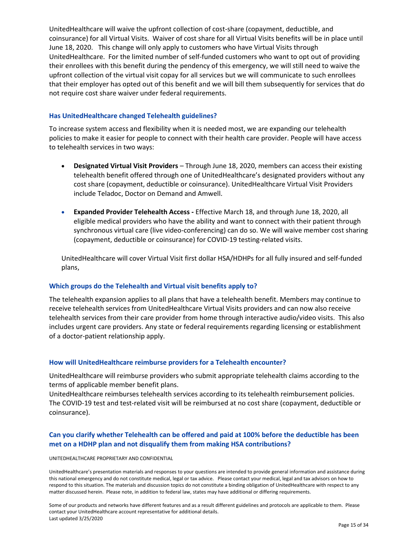UnitedHealthcare will waive the upfront collection of cost-share (copayment, deductible, and coinsurance) for all Virtual Visits. Waiver of cost share for all Virtual Visits benefits will be in place until June 18, 2020. This change will only apply to customers who have Virtual Visits through UnitedHealthcare. For the limited number of self-funded customers who want to opt out of providing their enrollees with this benefit during the pendency of this emergency, we will still need to waive the upfront collection of the virtual visit copay for all services but we will communicate to such enrollees that their employer has opted out of this benefit and we will bill them subsequently for services that do not require cost share waiver under federal requirements.

#### Has UnitedHealthcare changed Telehealth guidelines?

To increase system access and flexibility when it is needed most, we are expanding our telehealth policies to make it easier for people to connect with their health care provider. People will have access to telehealth services in two ways:

- Designated Virtual Visit Providers Through June 18, 2020, members can access their existing telehealth benefit offered through one of UnitedHealthcare's designated providers without any cost share (copayment, deductible or coinsurance). UnitedHealthcare Virtual Visit Providers include Teladoc, Doctor on Demand and Amwell.
- Expanded Provider Telehealth Access Effective March 18, and through June 18, 2020, all eligible medical providers who have the ability and want to connect with their patient through synchronous virtual care (live video-conferencing) can do so. We will waive member cost sharing (copayment, deductible or coinsurance) for COVID-19 testing-related visits.

UnitedHealthcare will cover Virtual Visit first dollar HSA/HDHPs for all fully insured and self-funded plans,

#### Which groups do the Telehealth and Virtual visit benefits apply to?

The telehealth expansion applies to all plans that have a telehealth benefit. Members may continue to receive telehealth services from UnitedHealthcare Virtual Visits providers and can now also receive telehealth services from their care provider from home through interactive audio/video visits. This also includes urgent care providers. Any state or federal requirements regarding licensing or establishment of a doctor-patient relationship apply.

#### How will UnitedHealthcare reimburse providers for a Telehealth encounter?

UnitedHealthcare will reimburse providers who submit appropriate telehealth claims according to the terms of applicable member benefit plans.

UnitedHealthcare reimburses telehealth services according to its telehealth reimbursement policies. The COVID-19 test and test-related visit will be reimbursed at no cost share (copayment, deductible or coinsurance).

#### Can you clarify whether Telehealth can be offered and paid at 100% before the deductible has been met on a HDHP plan and not disqualify them from making HSA contributions?

#### UNITEDHEALTHCARE PROPRIETARY AND CONFIDENTIAL

UnitedHealthcare's presentation materials and responses to your questions are intended to provide general information and assistance during this national emergency and do not constitute medical, legal or tax advice. Please contact your medical, legal and tax advisors on how to respond to this situation. The materials and discussion topics do not constitute a binding obligation of UnitedHealthcare with respect to any matter discussed herein. Please note, in addition to federal law, states may have additional or differing requirements.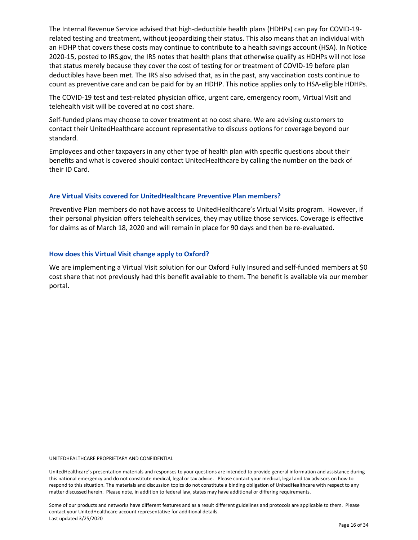The Internal Revenue Service advised that high-deductible health plans (HDHPs) can pay for COVID-19 related testing and treatment, without jeopardizing their status. This also means that an individual with an HDHP that covers these costs may continue to contribute to a health savings account (HSA). In Notice 2020-15, posted to IRS.gov, the IRS notes that health plans that otherwise qualify as HDHPs will not lose that status merely because they cover the cost of testing for or treatment of COVID-19 before plan deductibles have been met. The IRS also advised that, as in the past, any vaccination costs continue to count as preventive care and can be paid for by an HDHP. This notice applies only to HSA-eligible HDHPs.

The COVID-19 test and test-related physician office, urgent care, emergency room, Virtual Visit and telehealth visit will be covered at no cost share.

Self-funded plans may choose to cover treatment at no cost share. We are advising customers to contact their UnitedHealthcare account representative to discuss options for coverage beyond our standard.

Employees and other taxpayers in any other type of health plan with specific questions about their benefits and what is covered should contact UnitedHealthcare by calling the number on the back of their ID Card.

#### Are Virtual Visits covered for UnitedHealthcare Preventive Plan members?

Preventive Plan members do not have access to UnitedHealthcare's Virtual Visits program. However, if their personal physician offers telehealth services, they may utilize those services. Coverage is effective for claims as of March 18, 2020 and will remain in place for 90 days and then be re-evaluated.

#### How does this Virtual Visit change apply to Oxford?

We are implementing a Virtual Visit solution for our Oxford Fully Insured and self-funded members at \$0 cost share that not previously had this benefit available to them. The benefit is available via our member portal.

UNITEDHEALTHCARE PROPRIETARY AND CONFIDENTIAL

UnitedHealthcare's presentation materials and responses to your questions are intended to provide general information and assistance during this national emergency and do not constitute medical, legal or tax advice. Please contact your medical, legal and tax advisors on how to respond to this situation. The materials and discussion topics do not constitute a binding obligation of UnitedHealthcare with respect to any matter discussed herein. Please note, in addition to federal law, states may have additional or differing requirements.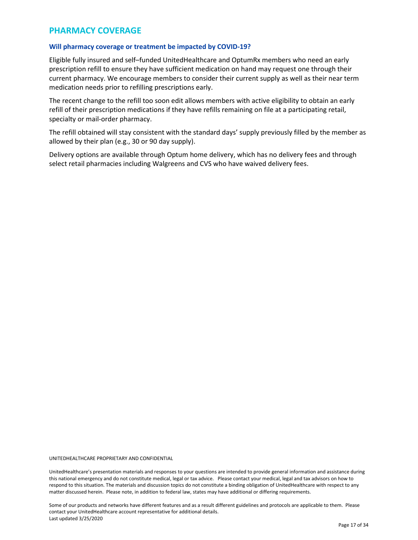#### PHARMACY COVERAGE

#### Will pharmacy coverage or treatment be impacted by COVID-19?

Eligible fully insured and self–funded UnitedHealthcare and OptumRx members who need an early prescription refill to ensure they have sufficient medication on hand may request one through their current pharmacy. We encourage members to consider their current supply as well as their near term medication needs prior to refilling prescriptions early.

The recent change to the refill too soon edit allows members with active eligibility to obtain an early refill of their prescription medications if they have refills remaining on file at a participating retail, specialty or mail-order pharmacy.

The refill obtained will stay consistent with the standard days' supply previously filled by the member as allowed by their plan (e.g., 30 or 90 day supply).

Delivery options are available through Optum home delivery, which has no delivery fees and through select retail pharmacies including Walgreens and CVS who have waived delivery fees.

UNITEDHEALTHCARE PROPRIETARY AND CONFIDENTIAL

UnitedHealthcare's presentation materials and responses to your questions are intended to provide general information and assistance during this national emergency and do not constitute medical, legal or tax advice. Please contact your medical, legal and tax advisors on how to respond to this situation. The materials and discussion topics do not constitute a binding obligation of UnitedHealthcare with respect to any matter discussed herein. Please note, in addition to federal law, states may have additional or differing requirements.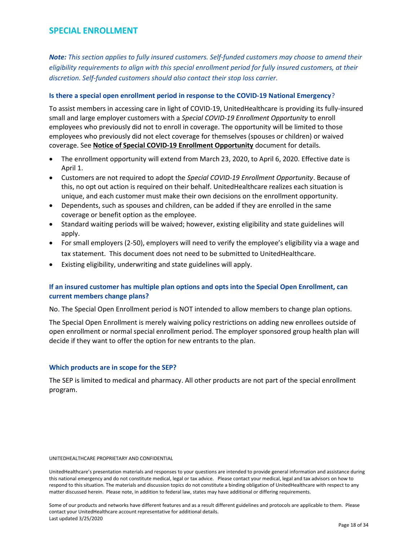#### SPECIAL ENROLLMENT

Note: This section applies to fully insured customers. Self-funded customers may choose to amend their eligibility requirements to align with this special enrollment period for fully insured customers, at their discretion. Self-funded customers should also contact their stop loss carrier.

#### Is there a special open enrollment period in response to the COVID-19 National Emergency?

To assist members in accessing care in light of COVID-19, UnitedHealthcare is providing its fully-insured small and large employer customers with a Special COVID-19 Enrollment Opportunity to enroll employees who previously did not to enroll in coverage. The opportunity will be limited to those employees who previously did not elect coverage for themselves (spouses or children) or waived coverage. See Notice of Special COVID-19 Enrollment Opportunity document for details.

- The enrollment opportunity will extend from March 23, 2020, to April 6, 2020. Effective date is April 1.
- Customers are not required to adopt the Special COVID-19 Enrollment Opportunity. Because of this, no opt out action is required on their behalf. UnitedHealthcare realizes each situation is unique, and each customer must make their own decisions on the enrollment opportunity.
- Dependents, such as spouses and children, can be added if they are enrolled in the same coverage or benefit option as the employee.
- Standard waiting periods will be waived; however, existing eligibility and state guidelines will apply.
- For small employers (2-50), employers will need to verify the employee's eligibility via a wage and tax statement. This document does not need to be submitted to UnitedHealthcare.
- Existing eligibility, underwriting and state guidelines will apply.

#### If an insured customer has multiple plan options and opts into the Special Open Enrollment, can current members change plans?

No. The Special Open Enrollment period is NOT intended to allow members to change plan options.

The Special Open Enrollment is merely waiving policy restrictions on adding new enrollees outside of open enrollment or normal special enrollment period. The employer sponsored group health plan will decide if they want to offer the option for new entrants to the plan.

#### Which products are in scope for the SEP?

The SEP is limited to medical and pharmacy. All other products are not part of the special enrollment program.

#### UNITEDHEALTHCARE PROPRIETARY AND CONFIDENTIAL

UnitedHealthcare's presentation materials and responses to your questions are intended to provide general information and assistance during this national emergency and do not constitute medical, legal or tax advice. Please contact your medical, legal and tax advisors on how to respond to this situation. The materials and discussion topics do not constitute a binding obligation of UnitedHealthcare with respect to any matter discussed herein. Please note, in addition to federal law, states may have additional or differing requirements.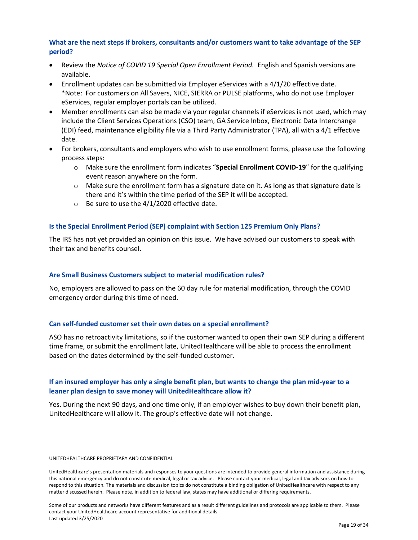#### What are the next steps if brokers, consultants and/or customers want to take advantage of the SEP period?

- Review the Notice of COVID 19 Special Open Enrollment Period. English and Spanish versions are available.
- Enrollment updates can be submitted via Employer eServices with a 4/1/20 effective date. \*Note: For customers on All Savers, NICE, SIERRA or PULSE platforms, who do not use Employer eServices, regular employer portals can be utilized.
- Member enrollments can also be made via your regular channels if eServices is not used, which may include the Client Services Operations (CSO) team, GA Service Inbox, Electronic Data Interchange (EDI) feed, maintenance eligibility file via a Third Party Administrator (TPA), all with a 4/1 effective date.
- For brokers, consultants and employers who wish to use enrollment forms, please use the following process steps:
	- $\circ$  Make sure the enrollment form indicates "**Special Enrollment COVID-19**" for the qualifying event reason anywhere on the form.
	- $\circ$  Make sure the enrollment form has a signature date on it. As long as that signature date is there and it's within the time period of the SEP it will be accepted.
	- o Be sure to use the 4/1/2020 effective date.

#### Is the Special Enrollment Period (SEP) complaint with Section 125 Premium Only Plans?

The IRS has not yet provided an opinion on this issue. We have advised our customers to speak with their tax and benefits counsel.

#### Are Small Business Customers subject to material modification rules?

No, employers are allowed to pass on the 60 day rule for material modification, through the COVID emergency order during this time of need.

#### Can self-funded customer set their own dates on a special enrollment?

ASO has no retroactivity limitations, so if the customer wanted to open their own SEP during a different time frame, or submit the enrollment late, UnitedHealthcare will be able to process the enrollment based on the dates determined by the self-funded customer.

#### If an insured employer has only a single benefit plan, but wants to change the plan mid-year to a leaner plan design to save money will UnitedHealthcare allow it?

Yes. During the next 90 days, and one time only, if an employer wishes to buy down their benefit plan, UnitedHealthcare will allow it. The group's effective date will not change.

#### UNITEDHEALTHCARE PROPRIETARY AND CONFIDENTIAL

UnitedHealthcare's presentation materials and responses to your questions are intended to provide general information and assistance during this national emergency and do not constitute medical, legal or tax advice. Please contact your medical, legal and tax advisors on how to respond to this situation. The materials and discussion topics do not constitute a binding obligation of UnitedHealthcare with respect to any matter discussed herein. Please note, in addition to federal law, states may have additional or differing requirements.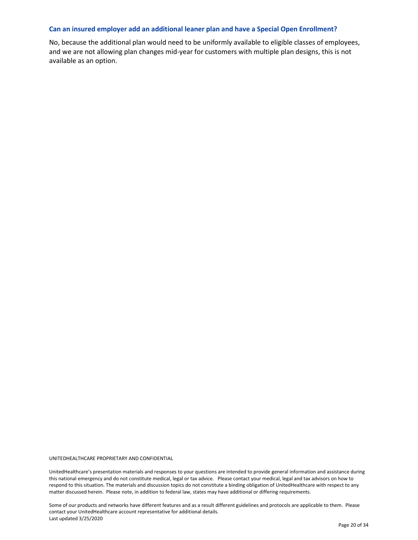#### Can an insured employer add an additional leaner plan and have a Special Open Enrollment?

No, because the additional plan would need to be uniformly available to eligible classes of employees, and we are not allowing plan changes mid-year for customers with multiple plan designs, this is not available as an option.

UNITEDHEALTHCARE PROPRIETARY AND CONFIDENTIAL

UnitedHealthcare's presentation materials and responses to your questions are intended to provide general information and assistance during this national emergency and do not constitute medical, legal or tax advice. Please contact your medical, legal and tax advisors on how to respond to this situation. The materials and discussion topics do not constitute a binding obligation of UnitedHealthcare with respect to any matter discussed herein. Please note, in addition to federal law, states may have additional or differing requirements.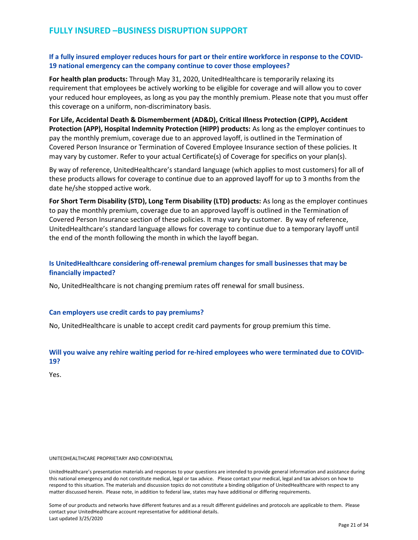#### If a fully insured employer reduces hours for part or their entire workforce in response to the COVID-19 national emergency can the company continue to cover those employees?

For health plan products: Through May 31, 2020, UnitedHealthcare is temporarily relaxing its requirement that employees be actively working to be eligible for coverage and will allow you to cover your reduced hour employees, as long as you pay the monthly premium. Please note that you must offer this coverage on a uniform, non-discriminatory basis.

For Life, Accidental Death & Dismemberment (AD&D), Critical Illness Protection (CIPP), Accident Protection (APP), Hospital Indemnity Protection (HIPP) products: As long as the employer continues to pay the monthly premium, coverage due to an approved layoff, is outlined in the Termination of Covered Person Insurance or Termination of Covered Employee Insurance section of these policies. It may vary by customer. Refer to your actual Certificate(s) of Coverage for specifics on your plan(s).

By way of reference, UnitedHealthcare's standard language (which applies to most customers) for all of these products allows for coverage to continue due to an approved layoff for up to 3 months from the date he/she stopped active work.

For Short Term Disability (STD), Long Term Disability (LTD) products: As long as the employer continues to pay the monthly premium, coverage due to an approved layoff is outlined in the Termination of Covered Person Insurance section of these policies. It may vary by customer. By way of reference, UnitedHealthcare's standard language allows for coverage to continue due to a temporary layoff until the end of the month following the month in which the layoff began.

#### Is UnitedHealthcare considering off-renewal premium changes for small businesses that may be financially impacted?

No, UnitedHealthcare is not changing premium rates off renewal for small business.

#### Can employers use credit cards to pay premiums?

No, UnitedHealthcare is unable to accept credit card payments for group premium this time.

#### Will you waive any rehire waiting period for re-hired employees who were terminated due to COVID-19?

Yes.

#### UNITEDHEALTHCARE PROPRIETARY AND CONFIDENTIAL

UnitedHealthcare's presentation materials and responses to your questions are intended to provide general information and assistance during this national emergency and do not constitute medical, legal or tax advice. Please contact your medical, legal and tax advisors on how to respond to this situation. The materials and discussion topics do not constitute a binding obligation of UnitedHealthcare with respect to any matter discussed herein. Please note, in addition to federal law, states may have additional or differing requirements.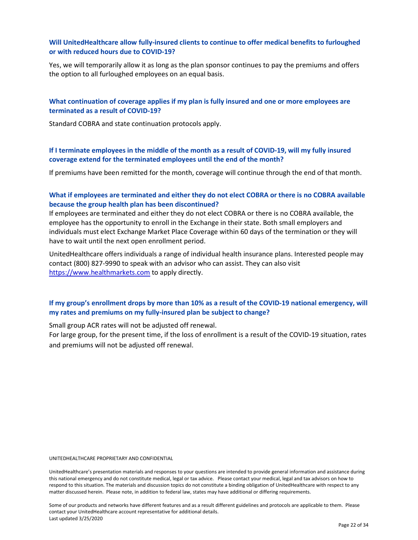#### Will UnitedHealthcare allow fully-insured clients to continue to offer medical benefits to furloughed or with reduced hours due to COVID-19?

Yes, we will temporarily allow it as long as the plan sponsor continues to pay the premiums and offers the option to all furloughed employees on an equal basis.

#### What continuation of coverage applies if my plan is fully insured and one or more employees are terminated as a result of COVID-19?

Standard COBRA and state continuation protocols apply.

#### If I terminate employees in the middle of the month as a result of COVID-19, will my fully insured coverage extend for the terminated employees until the end of the month?

If premiums have been remitted for the month, coverage will continue through the end of that month.

#### What if employees are terminated and either they do not elect COBRA or there is no COBRA available because the group health plan has been discontinued?

If employees are terminated and either they do not elect COBRA or there is no COBRA available, the employee has the opportunity to enroll in the Exchange in their state. Both small employers and individuals must elect Exchange Market Place Coverage within 60 days of the termination or they will have to wait until the next open enrollment period.

UnitedHealthcare offers individuals a range of individual health insurance plans. Interested people may contact (800) 827-9990 to speak with an advisor who can assist. They can also visit https://www.healthmarkets.com to apply directly.

#### If my group's enrollment drops by more than 10% as a result of the COVID-19 national emergency, will my rates and premiums on my fully-insured plan be subject to change?

Small group ACR rates will not be adjusted off renewal.

For large group, for the present time, if the loss of enrollment is a result of the COVID-19 situation, rates and premiums will not be adjusted off renewal.

UNITEDHEALTHCARE PROPRIETARY AND CONFIDENTIAL

UnitedHealthcare's presentation materials and responses to your questions are intended to provide general information and assistance during this national emergency and do not constitute medical, legal or tax advice. Please contact your medical, legal and tax advisors on how to respond to this situation. The materials and discussion topics do not constitute a binding obligation of UnitedHealthcare with respect to any matter discussed herein. Please note, in addition to federal law, states may have additional or differing requirements.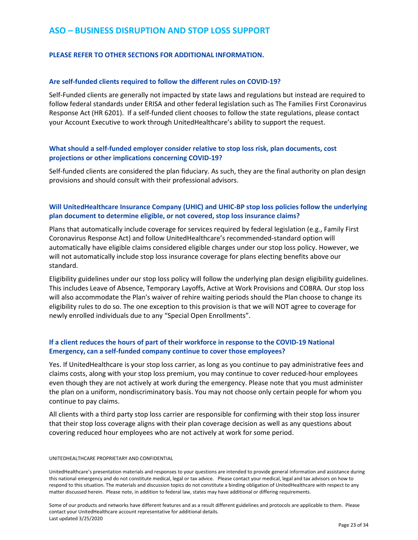#### ASO – BUSINESS DISRUPTION AND STOP LOSS SUPPORT

#### PLEASE REFER TO OTHER SECTIONS FOR ADDITIONAL INFORMATION.

#### Are self-funded clients required to follow the different rules on COVID-19?

Self-Funded clients are generally not impacted by state laws and regulations but instead are required to follow federal standards under ERISA and other federal legislation such as The Families First Coronavirus Response Act (HR 6201). If a self-funded client chooses to follow the state regulations, please contact your Account Executive to work through UnitedHealthcare's ability to support the request.

#### What should a self-funded employer consider relative to stop loss risk, plan documents, cost projections or other implications concerning COVID-19?

Self-funded clients are considered the plan fiduciary. As such, they are the final authority on plan design provisions and should consult with their professional advisors.

#### Will UnitedHealthcare Insurance Company (UHIC) and UHIC-BP stop loss policies follow the underlying plan document to determine eligible, or not covered, stop loss insurance claims?

Plans that automatically include coverage for services required by federal legislation (e.g., Family First Coronavirus Response Act) and follow UnitedHealthcare's recommended-standard option will automatically have eligible claims considered eligible charges under our stop loss policy. However, we will not automatically include stop loss insurance coverage for plans electing benefits above our standard.

Eligibility guidelines under our stop loss policy will follow the underlying plan design eligibility guidelines. This includes Leave of Absence, Temporary Layoffs, Active at Work Provisions and COBRA. Our stop loss will also accommodate the Plan's waiver of rehire waiting periods should the Plan choose to change its eligibility rules to do so. The one exception to this provision is that we will NOT agree to coverage for newly enrolled individuals due to any "Special Open Enrollments".

#### If a client reduces the hours of part of their workforce in response to the COVID-19 National Emergency, can a self-funded company continue to cover those employees?

Yes. If UnitedHealthcare is your stop loss carrier, as long as you continue to pay administrative fees and claims costs, along with your stop loss premium, you may continue to cover reduced-hour employees even though they are not actively at work during the emergency. Please note that you must administer the plan on a uniform, nondiscriminatory basis. You may not choose only certain people for whom you continue to pay claims.

All clients with a third party stop loss carrier are responsible for confirming with their stop loss insurer that their stop loss coverage aligns with their plan coverage decision as well as any questions about covering reduced hour employees who are not actively at work for some period.

#### UNITEDHEALTHCARE PROPRIETARY AND CONFIDENTIAL

UnitedHealthcare's presentation materials and responses to your questions are intended to provide general information and assistance during this national emergency and do not constitute medical, legal or tax advice. Please contact your medical, legal and tax advisors on how to respond to this situation. The materials and discussion topics do not constitute a binding obligation of UnitedHealthcare with respect to any matter discussed herein. Please note, in addition to federal law, states may have additional or differing requirements.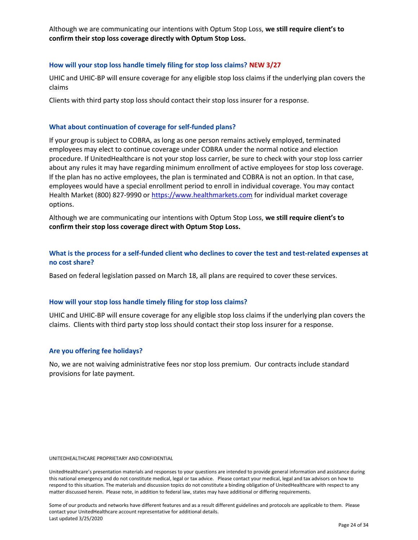Although we are communicating our intentions with Optum Stop Loss, we still require client's to confirm their stop loss coverage directly with Optum Stop Loss.

#### How will your stop loss handle timely filing for stop loss claims? NEW 3/27

UHIC and UHIC-BP will ensure coverage for any eligible stop loss claims if the underlying plan covers the claims

Clients with third party stop loss should contact their stop loss insurer for a response.

#### What about continuation of coverage for self-funded plans?

If your group is subject to COBRA, as long as one person remains actively employed, terminated employees may elect to continue coverage under COBRA under the normal notice and election procedure. If UnitedHealthcare is not your stop loss carrier, be sure to check with your stop loss carrier about any rules it may have regarding minimum enrollment of active employees for stop loss coverage. If the plan has no active employees, the plan is terminated and COBRA is not an option. In that case, employees would have a special enrollment period to enroll in individual coverage. You may contact Health Market (800) 827-9990 or https://www.healthmarkets.com for individual market coverage options.

Although we are communicating our intentions with Optum Stop Loss, we still require client's to confirm their stop loss coverage direct with Optum Stop Loss.

#### What is the process for a self-funded client who declines to cover the test and test-related expenses at no cost share?

Based on federal legislation passed on March 18, all plans are required to cover these services.

#### How will your stop loss handle timely filing for stop loss claims?

UHIC and UHIC-BP will ensure coverage for any eligible stop loss claims if the underlying plan covers the claims. Clients with third party stop loss should contact their stop loss insurer for a response.

#### Are you offering fee holidays?

No, we are not waiving administrative fees nor stop loss premium. Our contracts include standard provisions for late payment.

#### UNITEDHEALTHCARE PROPRIETARY AND CONFIDENTIAL

UnitedHealthcare's presentation materials and responses to your questions are intended to provide general information and assistance during this national emergency and do not constitute medical, legal or tax advice. Please contact your medical, legal and tax advisors on how to respond to this situation. The materials and discussion topics do not constitute a binding obligation of UnitedHealthcare with respect to any matter discussed herein. Please note, in addition to federal law, states may have additional or differing requirements.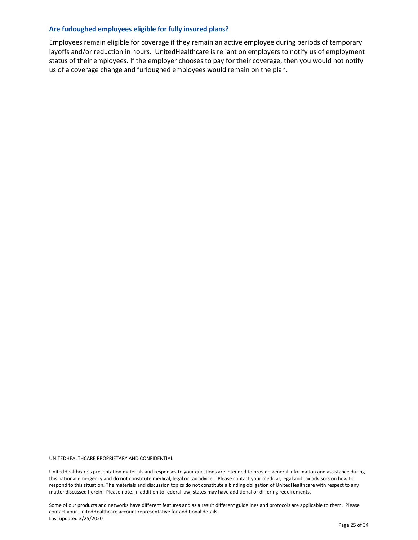#### Are furloughed employees eligible for fully insured plans?

Employees remain eligible for coverage if they remain an active employee during periods of temporary layoffs and/or reduction in hours. UnitedHealthcare is reliant on employers to notify us of employment status of their employees. If the employer chooses to pay for their coverage, then you would not notify us of a coverage change and furloughed employees would remain on the plan.

UNITEDHEALTHCARE PROPRIETARY AND CONFIDENTIAL

UnitedHealthcare's presentation materials and responses to your questions are intended to provide general information and assistance during this national emergency and do not constitute medical, legal or tax advice. Please contact your medical, legal and tax advisors on how to respond to this situation. The materials and discussion topics do not constitute a binding obligation of UnitedHealthcare with respect to any matter discussed herein. Please note, in addition to federal law, states may have additional or differing requirements.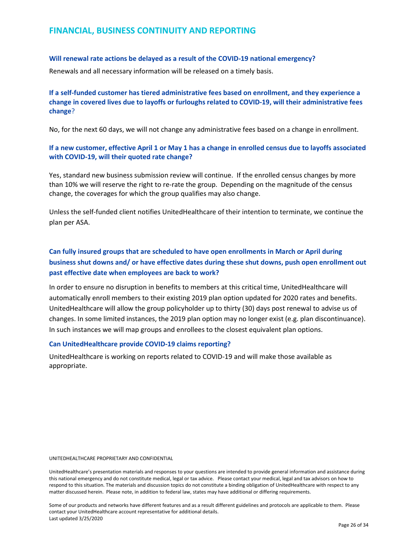#### FINANCIAL, BUSINESS CONTINUITY AND REPORTING

#### Will renewal rate actions be delayed as a result of the COVID-19 national emergency?

Renewals and all necessary information will be released on a timely basis.

#### If a self-funded customer has tiered administrative fees based on enrollment, and they experience a change in covered lives due to layoffs or furloughs related to COVID-19, will their administrative fees change?

No, for the next 60 days, we will not change any administrative fees based on a change in enrollment.

#### If a new customer, effective April 1 or May 1 has a change in enrolled census due to layoffs associated with COVID-19, will their quoted rate change?

Yes, standard new business submission review will continue. If the enrolled census changes by more than 10% we will reserve the right to re-rate the group. Depending on the magnitude of the census change, the coverages for which the group qualifies may also change.

Unless the self-funded client notifies UnitedHealthcare of their intention to terminate, we continue the plan per ASA.

#### Can fully insured groups that are scheduled to have open enrollments in March or April during business shut downs and/ or have effective dates during these shut downs, push open enrollment out past effective date when employees are back to work?

In order to ensure no disruption in benefits to members at this critical time, UnitedHealthcare will automatically enroll members to their existing 2019 plan option updated for 2020 rates and benefits. UnitedHealthcare will allow the group policyholder up to thirty (30) days post renewal to advise us of changes. In some limited instances, the 2019 plan option may no longer exist (e.g. plan discontinuance). In such instances we will map groups and enrollees to the closest equivalent plan options.

#### Can UnitedHealthcare provide COVID-19 claims reporting?

UnitedHealthcare is working on reports related to COVID-19 and will make those available as appropriate.

#### UNITEDHEALTHCARE PROPRIETARY AND CONFIDENTIAL

UnitedHealthcare's presentation materials and responses to your questions are intended to provide general information and assistance during this national emergency and do not constitute medical, legal or tax advice. Please contact your medical, legal and tax advisors on how to respond to this situation. The materials and discussion topics do not constitute a binding obligation of UnitedHealthcare with respect to any matter discussed herein. Please note, in addition to federal law, states may have additional or differing requirements.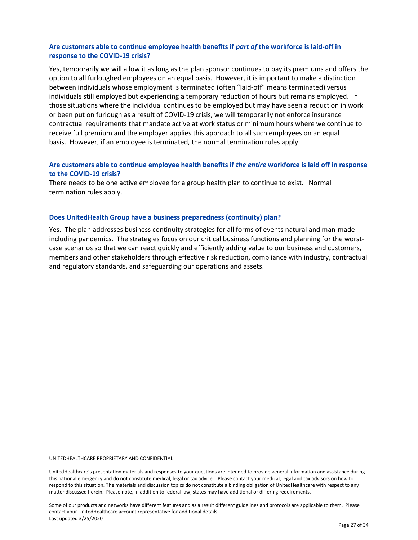#### Are customers able to continue employee health benefits if part of the workforce is laid-off in response to the COVID-19 crisis?

Yes, temporarily we will allow it as long as the plan sponsor continues to pay its premiums and offers the option to all furloughed employees on an equal basis. However, it is important to make a distinction between individuals whose employment is terminated (often "laid-off" means terminated) versus individuals still employed but experiencing a temporary reduction of hours but remains employed. In those situations where the individual continues to be employed but may have seen a reduction in work or been put on furlough as a result of COVID-19 crisis, we will temporarily not enforce insurance contractual requirements that mandate active at work status or minimum hours where we continue to receive full premium and the employer applies this approach to all such employees on an equal basis. However, if an employee is terminated, the normal termination rules apply.

#### Are customers able to continue employee health benefits if the entire workforce is laid off in response to the COVID-19 crisis?

There needs to be one active employee for a group health plan to continue to exist. Normal termination rules apply.

#### Does UnitedHealth Group have a business preparedness (continuity) plan?

Yes. The plan addresses business continuity strategies for all forms of events natural and man-made including pandemics. The strategies focus on our critical business functions and planning for the worstcase scenarios so that we can react quickly and efficiently adding value to our business and customers, members and other stakeholders through effective risk reduction, compliance with industry, contractual and regulatory standards, and safeguarding our operations and assets.

UNITEDHEALTHCARE PROPRIETARY AND CONFIDENTIAL

UnitedHealthcare's presentation materials and responses to your questions are intended to provide general information and assistance during this national emergency and do not constitute medical, legal or tax advice. Please contact your medical, legal and tax advisors on how to respond to this situation. The materials and discussion topics do not constitute a binding obligation of UnitedHealthcare with respect to any matter discussed herein. Please note, in addition to federal law, states may have additional or differing requirements.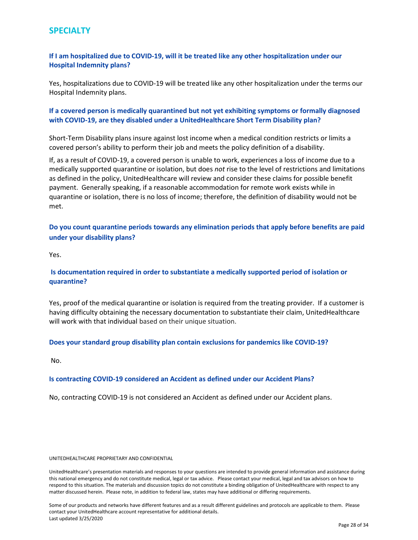#### **SPECIALTY**

#### If I am hospitalized due to COVID-19, will it be treated like any other hospitalization under our Hospital Indemnity plans?

Yes, hospitalizations due to COVID-19 will be treated like any other hospitalization under the terms our Hospital Indemnity plans.

#### If a covered person is medically quarantined but not yet exhibiting symptoms or formally diagnosed with COVID-19, are they disabled under a UnitedHealthcare Short Term Disability plan?

Short-Term Disability plans insure against lost income when a medical condition restricts or limits a covered person's ability to perform their job and meets the policy definition of a disability.

If, as a result of COVID-19, a covered person is unable to work, experiences a loss of income due to a medically supported quarantine or isolation, but does not rise to the level of restrictions and limitations as defined in the policy, UnitedHealthcare will review and consider these claims for possible benefit payment. Generally speaking, if a reasonable accommodation for remote work exists while in quarantine or isolation, there is no loss of income; therefore, the definition of disability would not be met.

Do you count quarantine periods towards any elimination periods that apply before benefits are paid under your disability plans?

Yes.

#### Is documentation required in order to substantiate a medically supported period of isolation or quarantine?

Yes, proof of the medical quarantine or isolation is required from the treating provider. If a customer is having difficulty obtaining the necessary documentation to substantiate their claim, UnitedHealthcare will work with that individual based on their unique situation.

#### Does your standard group disability plan contain exclusions for pandemics like COVID-19?

No.

#### Is contracting COVID-19 considered an Accident as defined under our Accident Plans?

No, contracting COVID-19 is not considered an Accident as defined under our Accident plans.

#### UNITEDHEALTHCARE PROPRIETARY AND CONFIDENTIAL

UnitedHealthcare's presentation materials and responses to your questions are intended to provide general information and assistance during this national emergency and do not constitute medical, legal or tax advice. Please contact your medical, legal and tax advisors on how to respond to this situation. The materials and discussion topics do not constitute a binding obligation of UnitedHealthcare with respect to any matter discussed herein. Please note, in addition to federal law, states may have additional or differing requirements.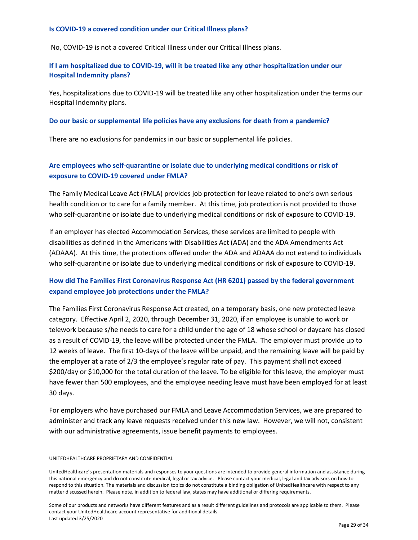#### Is COVID-19 a covered condition under our Critical Illness plans?

No, COVID-19 is not a covered Critical Illness under our Critical Illness plans.

#### If I am hospitalized due to COVID-19, will it be treated like any other hospitalization under our Hospital Indemnity plans?

Yes, hospitalizations due to COVID-19 will be treated like any other hospitalization under the terms our Hospital Indemnity plans.

#### Do our basic or supplemental life policies have any exclusions for death from a pandemic?

There are no exclusions for pandemics in our basic or supplemental life policies.

#### Are employees who self-quarantine or isolate due to underlying medical conditions or risk of exposure to COVID-19 covered under FMLA?

The Family Medical Leave Act (FMLA) provides job protection for leave related to one's own serious health condition or to care for a family member. At this time, job protection is not provided to those who self-quarantine or isolate due to underlying medical conditions or risk of exposure to COVID-19.

If an employer has elected Accommodation Services, these services are limited to people with disabilities as defined in the Americans with Disabilities Act (ADA) and the ADA Amendments Act (ADAAA). At this time, the protections offered under the ADA and ADAAA do not extend to individuals who self-quarantine or isolate due to underlying medical conditions or risk of exposure to COVID-19.

#### How did The Families First Coronavirus Response Act (HR 6201) passed by the federal government expand employee job protections under the FMLA?

The Families First Coronavirus Response Act created, on a temporary basis, one new protected leave category. Effective April 2, 2020, through December 31, 2020, if an employee is unable to work or telework because s/he needs to care for a child under the age of 18 whose school or daycare has closed as a result of COVID-19, the leave will be protected under the FMLA. The employer must provide up to 12 weeks of leave. The first 10-days of the leave will be unpaid, and the remaining leave will be paid by the employer at a rate of 2/3 the employee's regular rate of pay. This payment shall not exceed \$200/day or \$10,000 for the total duration of the leave. To be eligible for this leave, the employer must have fewer than 500 employees, and the employee needing leave must have been employed for at least 30 days.

For employers who have purchased our FMLA and Leave Accommodation Services, we are prepared to administer and track any leave requests received under this new law. However, we will not, consistent with our administrative agreements, issue benefit payments to employees.

#### UNITEDHEALTHCARE PROPRIETARY AND CONFIDENTIAL

UnitedHealthcare's presentation materials and responses to your questions are intended to provide general information and assistance during this national emergency and do not constitute medical, legal or tax advice. Please contact your medical, legal and tax advisors on how to respond to this situation. The materials and discussion topics do not constitute a binding obligation of UnitedHealthcare with respect to any matter discussed herein. Please note, in addition to federal law, states may have additional or differing requirements.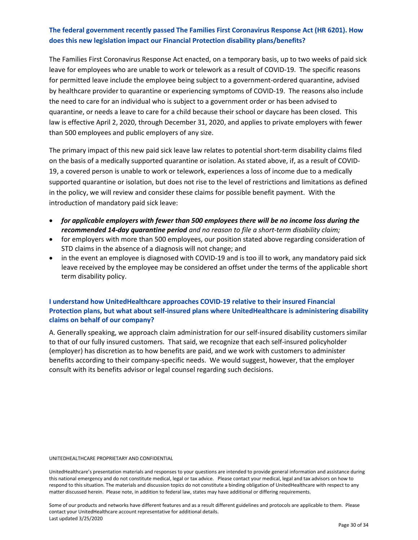#### The federal government recently passed The Families First Coronavirus Response Act (HR 6201). How does this new legislation impact our Financial Protection disability plans/benefits?

The Families First Coronavirus Response Act enacted, on a temporary basis, up to two weeks of paid sick leave for employees who are unable to work or telework as a result of COVID-19. The specific reasons for permitted leave include the employee being subject to a government-ordered quarantine, advised by healthcare provider to quarantine or experiencing symptoms of COVID-19. The reasons also include the need to care for an individual who is subject to a government order or has been advised to quarantine, or needs a leave to care for a child because their school or daycare has been closed. This law is effective April 2, 2020, through December 31, 2020, and applies to private employers with fewer than 500 employees and public employers of any size.

The primary impact of this new paid sick leave law relates to potential short-term disability claims filed on the basis of a medically supported quarantine or isolation. As stated above, if, as a result of COVID-19, a covered person is unable to work or telework, experiences a loss of income due to a medically supported quarantine or isolation, but does not rise to the level of restrictions and limitations as defined in the policy, we will review and consider these claims for possible benefit payment. With the introduction of mandatory paid sick leave:

- for applicable employers with fewer than 500 employees there will be no income loss during the recommended 14-day quarantine period and no reason to file a short-term disability claim;
- for employers with more than 500 employees, our position stated above regarding consideration of STD claims in the absence of a diagnosis will not change; and
- in the event an employee is diagnosed with COVID-19 and is too ill to work, any mandatory paid sick leave received by the employee may be considered an offset under the terms of the applicable short term disability policy.

#### I understand how UnitedHealthcare approaches COVID-19 relative to their insured Financial Protection plans, but what about self-insured plans where UnitedHealthcare is administering disability claims on behalf of our company?

A. Generally speaking, we approach claim administration for our self-insured disability customers similar to that of our fully insured customers. That said, we recognize that each self-insured policyholder (employer) has discretion as to how benefits are paid, and we work with customers to administer benefits according to their company-specific needs. We would suggest, however, that the employer consult with its benefits advisor or legal counsel regarding such decisions.

UNITEDHEALTHCARE PROPRIETARY AND CONFIDENTIAL

UnitedHealthcare's presentation materials and responses to your questions are intended to provide general information and assistance during this national emergency and do not constitute medical, legal or tax advice. Please contact your medical, legal and tax advisors on how to respond to this situation. The materials and discussion topics do not constitute a binding obligation of UnitedHealthcare with respect to any matter discussed herein. Please note, in addition to federal law, states may have additional or differing requirements.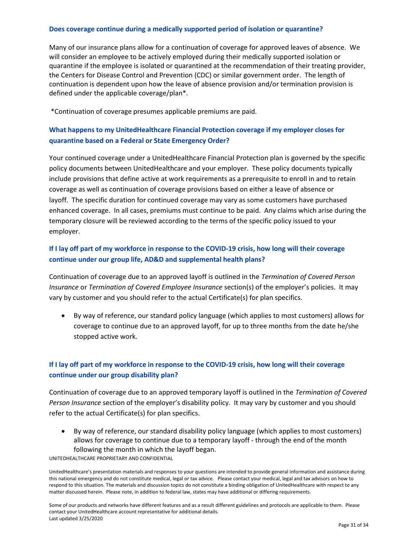#### Does coverage continue during a medically supported period of isolation or quarantine?

Many of our insurance plans allow for a continuation of coverage for approved leaves of absence. We will consider an employee to be actively employed during their medically supported isolation or quarantine if the employee is isolated or quarantined at the recommendation of their treating provider, the Centers for Disease Control and Prevention (CDC) or similar government order. The length of continuation is dependent upon how the leave of absence provision and/or termination provision is defined under the applicable coverage/plan\*.

\*Continuation of coverage presumes applicable premiums are paid.

#### What happens to my UnitedHealthcare Financial Protection coverage if my employer closes for quarantine based on a Federal or State Emergency Order?

Your continued coverage under a UnitedHealthcare Financial Protection plan is governed by the specific policy documents between UnitedHealthcare and your employer. These policy documents typically include provisions that define active at work requirements as a prerequisite to enroll in and to retain coverage as well as continuation of coverage provisions based on either a leave of absence or layoff. The specific duration for continued coverage may vary as some customers have purchased enhanced coverage. In all cases, premiums must continue to be paid. Any claims which arise during the temporary closure will be reviewed according to the terms of the specific policy issued to your employer.

#### If I lay off part of my workforce in response to the COVID-19 crisis, how long will their coverage continue under our group life, AD&D and supplemental health plans?

Continuation of coverage due to an approved layoff is outlined in the Termination of Covered Person Insurance or Termination of Covered Employee Insurance section(s) of the employer's policies. It may vary by customer and you should refer to the actual Certificate(s) for plan specifics.

 By way of reference, our standard policy language (which applies to most customers) allows for coverage to continue due to an approved layoff, for up to three months from the date he/she stopped active work.

#### If I lay off part of my workforce in response to the COVID-19 crisis, how long will their coverage continue under our group disability plan?

Continuation of coverage due to an approved temporary layoff is outlined in the Termination of Covered Person Insurance section of the employer's disability policy. It may vary by customer and you should refer to the actual Certificate(s) for plan specifics.

 By way of reference, our standard disability policy language (which applies to most customers) allows for coverage to continue due to a temporary layoff - through the end of the month following the month in which the layoff began.

UNITEDHEALTHCARE PROPRIETARY AND CONFIDENTIAL

UnitedHealthcare's presentation materials and responses to your questions are intended to provide general information and assistance during this national emergency and do not constitute medical, legal or tax advice. Please contact your medical, legal and tax advisors on how to respond to this situation. The materials and discussion topics do not constitute a binding obligation of UnitedHealthcare with respect to any matter discussed herein. Please note, in addition to federal law, states may have additional or differing requirements.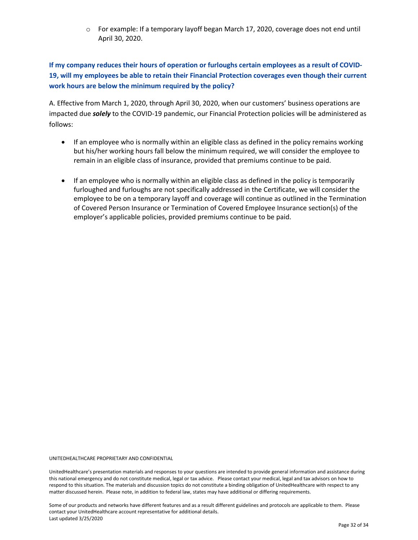o For example: If a temporary layoff began March 17, 2020, coverage does not end until April 30, 2020.

If my company reduces their hours of operation or furloughs certain employees as a result of COVID-19, will my employees be able to retain their Financial Protection coverages even though their current work hours are below the minimum required by the policy?

A. Effective from March 1, 2020, through April 30, 2020, when our customers' business operations are impacted due *solely* to the COVID-19 pandemic, our Financial Protection policies will be administered as follows:

- If an employee who is normally within an eligible class as defined in the policy remains working but his/her working hours fall below the minimum required, we will consider the employee to remain in an eligible class of insurance, provided that premiums continue to be paid.
- If an employee who is normally within an eligible class as defined in the policy is temporarily furloughed and furloughs are not specifically addressed in the Certificate, we will consider the employee to be on a temporary layoff and coverage will continue as outlined in the Termination of Covered Person Insurance or Termination of Covered Employee Insurance section(s) of the employer's applicable policies, provided premiums continue to be paid.

UNITEDHEALTHCARE PROPRIETARY AND CONFIDENTIAL

UnitedHealthcare's presentation materials and responses to your questions are intended to provide general information and assistance during this national emergency and do not constitute medical, legal or tax advice. Please contact your medical, legal and tax advisors on how to respond to this situation. The materials and discussion topics do not constitute a binding obligation of UnitedHealthcare with respect to any matter discussed herein. Please note, in addition to federal law, states may have additional or differing requirements.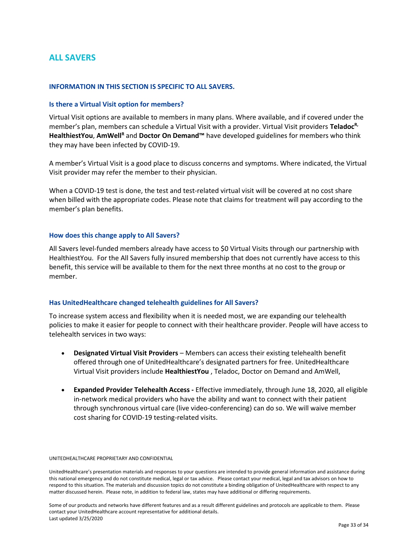#### ALL SAVERS

#### INFORMATION IN THIS SECTION IS SPECIFIC TO ALL SAVERS.

#### Is there a Virtual Visit option for members?

Virtual Visit options are available to members in many plans. Where available, and if covered under the member's plan, members can schedule a Virtual Visit with a provider. Virtual Visit providers Teladoc<sup>R,</sup> HealthiestYou, AmWell<sup>R</sup> and Doctor On Demand™ have developed guidelines for members who think they may have been infected by COVID-19.

A member's Virtual Visit is a good place to discuss concerns and symptoms. Where indicated, the Virtual Visit provider may refer the member to their physician.

When a COVID-19 test is done, the test and test-related virtual visit will be covered at no cost share when billed with the appropriate codes. Please note that claims for treatment will pay according to the member's plan benefits.

#### How does this change apply to All Savers?

All Savers level-funded members already have access to \$0 Virtual Visits through our partnership with HealthiestYou. For the All Savers fully insured membership that does not currently have access to this benefit, this service will be available to them for the next three months at no cost to the group or member.

#### Has UnitedHealthcare changed telehealth guidelines for All Savers?

To increase system access and flexibility when it is needed most, we are expanding our telehealth policies to make it easier for people to connect with their healthcare provider. People will have access to telehealth services in two ways:

- Designated Virtual Visit Providers Members can access their existing telehealth benefit offered through one of UnitedHealthcare's designated partners for free. UnitedHealthcare Virtual Visit providers include HealthiestYou , Teladoc, Doctor on Demand and AmWell,
- Expanded Provider Telehealth Access Effective immediately, through June 18, 2020, all eligible in-network medical providers who have the ability and want to connect with their patient through synchronous virtual care (live video-conferencing) can do so. We will waive member cost sharing for COVID-19 testing-related visits.

#### UNITEDHEALTHCARE PROPRIETARY AND CONFIDENTIAL

UnitedHealthcare's presentation materials and responses to your questions are intended to provide general information and assistance during this national emergency and do not constitute medical, legal or tax advice. Please contact your medical, legal and tax advisors on how to respond to this situation. The materials and discussion topics do not constitute a binding obligation of UnitedHealthcare with respect to any matter discussed herein. Please note, in addition to federal law, states may have additional or differing requirements.